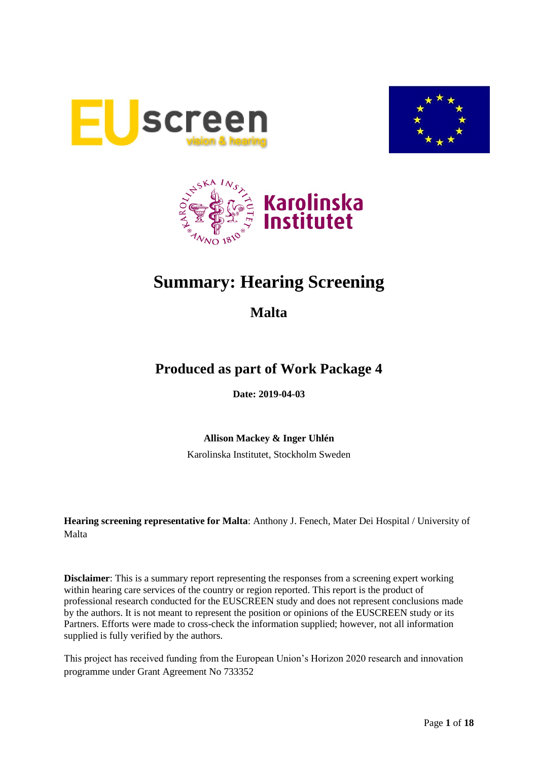





# **Summary: Hearing Screening**

## **Malta**

## **Produced as part of Work Package 4**

**Date: 2019-04-03**

**Allison Mackey & Inger Uhlén**

Karolinska Institutet, Stockholm Sweden

**Hearing screening representative for Malta**: Anthony J. Fenech, Mater Dei Hospital / University of Malta

**Disclaimer**: This is a summary report representing the responses from a screening expert working within hearing care services of the country or region reported. This report is the product of professional research conducted for the EUSCREEN study and does not represent conclusions made by the authors. It is not meant to represent the position or opinions of the EUSCREEN study or its Partners. Efforts were made to cross-check the information supplied; however, not all information supplied is fully verified by the authors.

This project has received funding from the European Union's Horizon 2020 research and innovation programme under Grant Agreement No 733352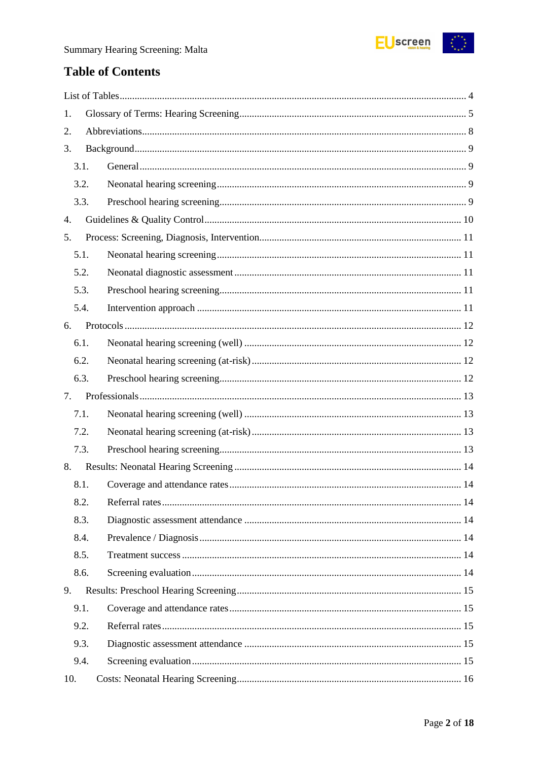

## **Table of Contents**

| 1.   |  |
|------|--|
| 2.   |  |
| 3.   |  |
| 3.1. |  |
| 3.2. |  |
| 3.3. |  |
| 4.   |  |
| 5.   |  |
| 5.1. |  |
| 5.2. |  |
| 5.3. |  |
| 5.4. |  |
| 6.   |  |
| 6.1. |  |
| 6.2. |  |
| 6.3. |  |
|      |  |
| 7.   |  |
| 7.1. |  |
| 7.2. |  |
| 7.3. |  |
| 8.   |  |
| 8.1. |  |
| 8.2. |  |
| 8.3. |  |
| 8.4. |  |
| 8.5. |  |
| 8.6. |  |
| 9.   |  |
| 9.1. |  |
| 9.2. |  |
| 9.3. |  |
| 9.4. |  |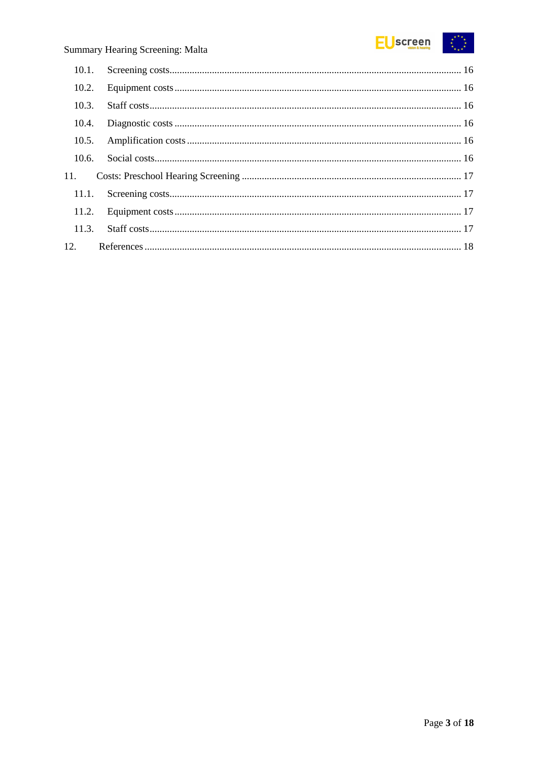

| 10.2. |  |
|-------|--|
| 10.3. |  |
| 10.4. |  |
| 10.5. |  |
| 10.6. |  |
| 11.   |  |
|       |  |
|       |  |
|       |  |
|       |  |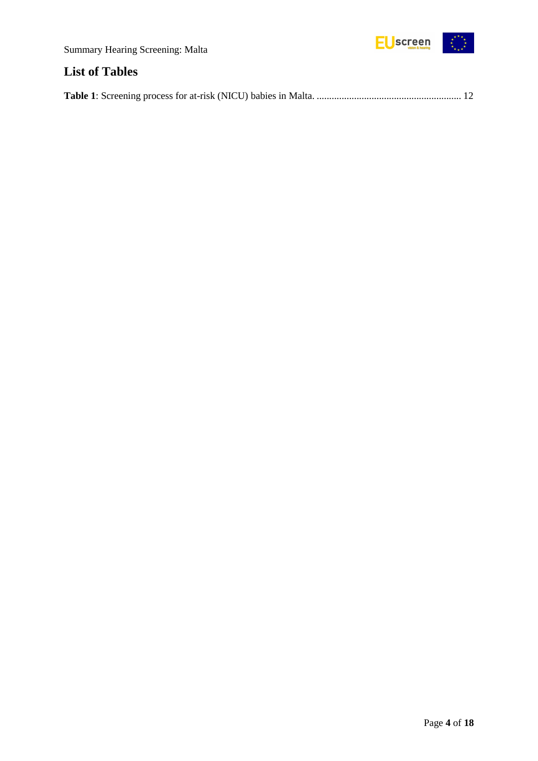

## <span id="page-3-0"></span>**List of Tables**

|--|--|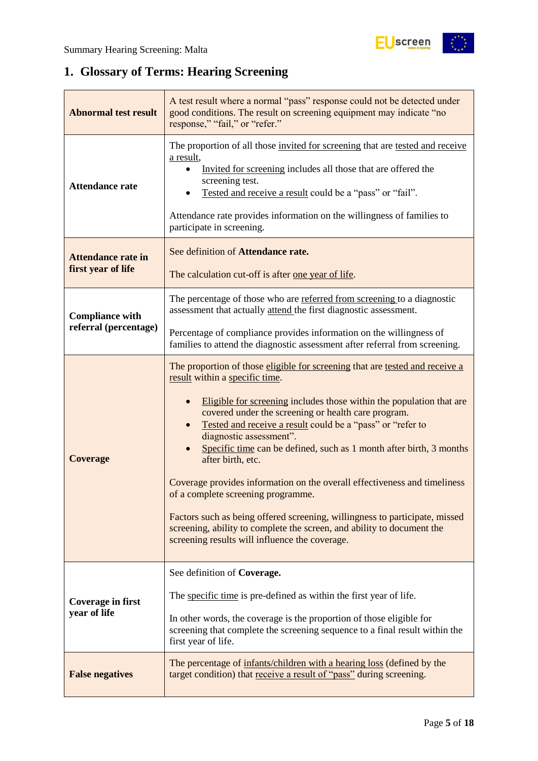## <span id="page-4-0"></span>**1. Glossary of Terms: Hearing Screening**

| <b>Abnormal test result</b>                     | A test result where a normal "pass" response could not be detected under<br>good conditions. The result on screening equipment may indicate "no<br>response," "fail," or "refer."                                                                                                                                                                                                                                                                                                                                                                                                                                                                                                                                                                                             |  |  |
|-------------------------------------------------|-------------------------------------------------------------------------------------------------------------------------------------------------------------------------------------------------------------------------------------------------------------------------------------------------------------------------------------------------------------------------------------------------------------------------------------------------------------------------------------------------------------------------------------------------------------------------------------------------------------------------------------------------------------------------------------------------------------------------------------------------------------------------------|--|--|
| <b>Attendance rate</b>                          | The proportion of all those invited for screening that are tested and receive<br>a result,<br>Invited for screening includes all those that are offered the<br>screening test.<br>Tested and receive a result could be a "pass" or "fail".<br>Attendance rate provides information on the willingness of families to<br>participate in screening.                                                                                                                                                                                                                                                                                                                                                                                                                             |  |  |
| <b>Attendance rate in</b><br>first year of life | See definition of Attendance rate.<br>The calculation cut-off is after one year of life.                                                                                                                                                                                                                                                                                                                                                                                                                                                                                                                                                                                                                                                                                      |  |  |
| <b>Compliance with</b>                          | The percentage of those who are referred from screening to a diagnostic<br>assessment that actually attend the first diagnostic assessment.                                                                                                                                                                                                                                                                                                                                                                                                                                                                                                                                                                                                                                   |  |  |
| referral (percentage)                           | Percentage of compliance provides information on the willingness of<br>families to attend the diagnostic assessment after referral from screening.                                                                                                                                                                                                                                                                                                                                                                                                                                                                                                                                                                                                                            |  |  |
| <b>Coverage</b>                                 | The proportion of those eligible for screening that are tested and receive a<br>result within a specific time.<br>Eligible for screening includes those within the population that are<br>$\bullet$<br>covered under the screening or health care program.<br>Tested and receive a result could be a "pass" or "refer to<br>diagnostic assessment".<br>Specific time can be defined, such as 1 month after birth, 3 months<br>after birth, etc.<br>Coverage provides information on the overall effectiveness and timeliness<br>of a complete screening programme.<br>Factors such as being offered screening, willingness to participate, missed<br>screening, ability to complete the screen, and ability to document the<br>screening results will influence the coverage. |  |  |
| <b>Coverage in first</b><br>year of life        | See definition of Coverage.<br>The specific time is pre-defined as within the first year of life.<br>In other words, the coverage is the proportion of those eligible for                                                                                                                                                                                                                                                                                                                                                                                                                                                                                                                                                                                                     |  |  |
| <b>False negatives</b>                          | screening that complete the screening sequence to a final result within the<br>first year of life.<br>The percentage of infants/children with a hearing loss (defined by the<br>target condition) that receive a result of "pass" during screening.                                                                                                                                                                                                                                                                                                                                                                                                                                                                                                                           |  |  |
|                                                 |                                                                                                                                                                                                                                                                                                                                                                                                                                                                                                                                                                                                                                                                                                                                                                               |  |  |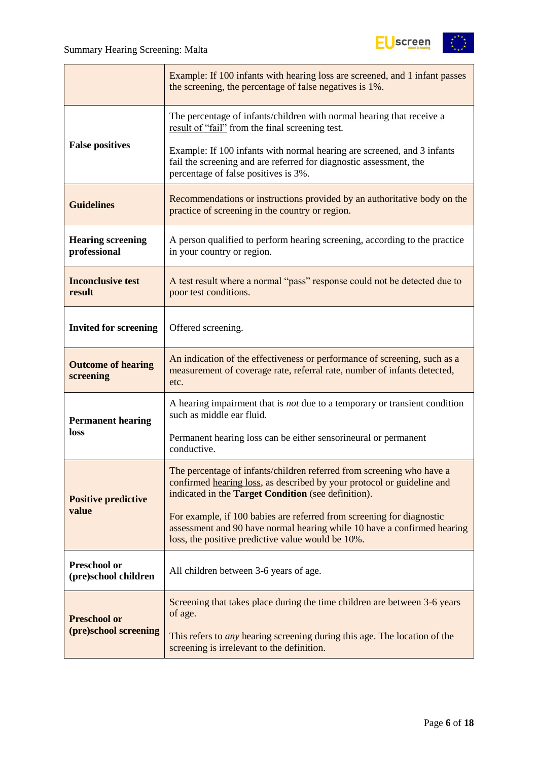

|                                          | Example: If 100 infants with hearing loss are screened, and 1 infant passes<br>the screening, the percentage of false negatives is 1%.                                                                 |  |  |  |
|------------------------------------------|--------------------------------------------------------------------------------------------------------------------------------------------------------------------------------------------------------|--|--|--|
|                                          | The percentage of infants/children with normal hearing that receive a<br>result of "fail" from the final screening test.                                                                               |  |  |  |
| <b>False positives</b>                   | Example: If 100 infants with normal hearing are screened, and 3 infants<br>fail the screening and are referred for diagnostic assessment, the<br>percentage of false positives is 3%.                  |  |  |  |
| <b>Guidelines</b>                        | Recommendations or instructions provided by an authoritative body on the<br>practice of screening in the country or region.                                                                            |  |  |  |
| <b>Hearing screening</b><br>professional | A person qualified to perform hearing screening, according to the practice<br>in your country or region.                                                                                               |  |  |  |
| <b>Inconclusive test</b><br>result       | A test result where a normal "pass" response could not be detected due to<br>poor test conditions.                                                                                                     |  |  |  |
| <b>Invited for screening</b>             | Offered screening.                                                                                                                                                                                     |  |  |  |
| <b>Outcome of hearing</b><br>screening   | An indication of the effectiveness or performance of screening, such as a<br>measurement of coverage rate, referral rate, number of infants detected,<br>etc.                                          |  |  |  |
| <b>Permanent hearing</b>                 | A hearing impairment that is <i>not</i> due to a temporary or transient condition<br>such as middle ear fluid.                                                                                         |  |  |  |
| loss                                     | Permanent hearing loss can be either sensorineural or permanent<br>conductive.                                                                                                                         |  |  |  |
| <b>Positive predictive</b>               | The percentage of infants/children referred from screening who have a<br>confirmed hearing loss, as described by your protocol or guideline and<br>indicated in the Target Condition (see definition). |  |  |  |
| value                                    | For example, if 100 babies are referred from screening for diagnostic<br>assessment and 90 have normal hearing while 10 have a confirmed hearing<br>loss, the positive predictive value would be 10%.  |  |  |  |
| Preschool or<br>(pre)school children     | All children between 3-6 years of age.                                                                                                                                                                 |  |  |  |
| <b>Preschool or</b>                      | Screening that takes place during the time children are between 3-6 years<br>of age.                                                                                                                   |  |  |  |
| (pre)school screening                    | This refers to <i>any</i> hearing screening during this age. The location of the<br>screening is irrelevant to the definition.                                                                         |  |  |  |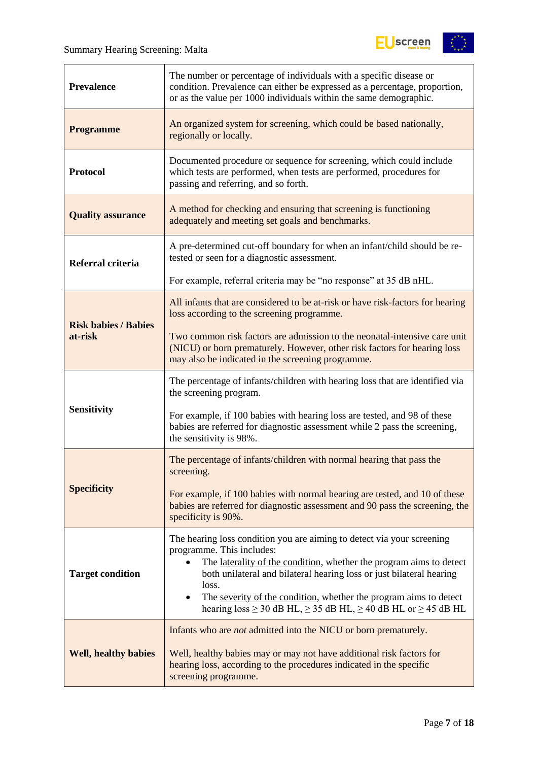

| <b>Prevalence</b>           | The number or percentage of individuals with a specific disease or<br>condition. Prevalence can either be expressed as a percentage, proportion,<br>or as the value per 1000 individuals within the same demographic.                                                                                                                                                                                                          |  |  |  |
|-----------------------------|--------------------------------------------------------------------------------------------------------------------------------------------------------------------------------------------------------------------------------------------------------------------------------------------------------------------------------------------------------------------------------------------------------------------------------|--|--|--|
| <b>Programme</b>            | An organized system for screening, which could be based nationally,<br>regionally or locally.                                                                                                                                                                                                                                                                                                                                  |  |  |  |
| <b>Protocol</b>             | Documented procedure or sequence for screening, which could include<br>which tests are performed, when tests are performed, procedures for<br>passing and referring, and so forth.                                                                                                                                                                                                                                             |  |  |  |
| <b>Quality assurance</b>    | A method for checking and ensuring that screening is functioning<br>adequately and meeting set goals and benchmarks.                                                                                                                                                                                                                                                                                                           |  |  |  |
| Referral criteria           | A pre-determined cut-off boundary for when an infant/child should be re-<br>tested or seen for a diagnostic assessment.                                                                                                                                                                                                                                                                                                        |  |  |  |
|                             | For example, referral criteria may be "no response" at 35 dB nHL.                                                                                                                                                                                                                                                                                                                                                              |  |  |  |
| <b>Risk babies / Babies</b> | All infants that are considered to be at-risk or have risk-factors for hearing<br>loss according to the screening programme.                                                                                                                                                                                                                                                                                                   |  |  |  |
| at-risk                     | Two common risk factors are admission to the neonatal-intensive care unit<br>(NICU) or born prematurely. However, other risk factors for hearing loss<br>may also be indicated in the screening programme.                                                                                                                                                                                                                     |  |  |  |
|                             | The percentage of infants/children with hearing loss that are identified via<br>the screening program.                                                                                                                                                                                                                                                                                                                         |  |  |  |
| <b>Sensitivity</b>          | For example, if 100 babies with hearing loss are tested, and 98 of these<br>babies are referred for diagnostic assessment while 2 pass the screening,<br>the sensitivity is 98%.                                                                                                                                                                                                                                               |  |  |  |
|                             | The percentage of infants/children with normal hearing that pass the<br>screening.                                                                                                                                                                                                                                                                                                                                             |  |  |  |
| <b>Specificity</b>          | For example, if 100 babies with normal hearing are tested, and 10 of these<br>babies are referred for diagnostic assessment and 90 pass the screening, the<br>specificity is 90%.                                                                                                                                                                                                                                              |  |  |  |
| <b>Target condition</b>     | The hearing loss condition you are aiming to detect via your screening<br>programme. This includes:<br>The laterality of the condition, whether the program aims to detect<br>$\bullet$<br>both unilateral and bilateral hearing loss or just bilateral hearing<br>loss.<br>The severity of the condition, whether the program aims to detect<br>hearing $loss \ge 30$ dB HL, $\ge 35$ dB HL, $\ge 40$ dB HL or $\ge 45$ dB HL |  |  |  |
| <b>Well, healthy babies</b> | Infants who are <i>not</i> admitted into the NICU or born prematurely.<br>Well, healthy babies may or may not have additional risk factors for<br>hearing loss, according to the procedures indicated in the specific<br>screening programme.                                                                                                                                                                                  |  |  |  |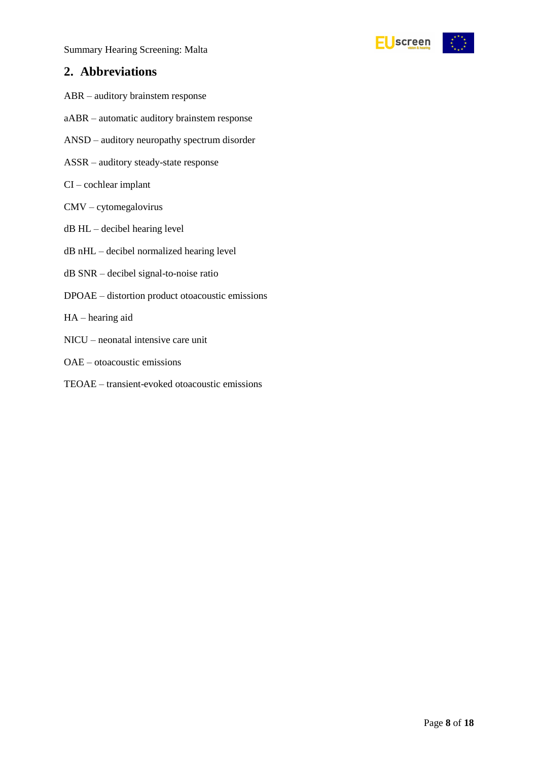

## <span id="page-7-0"></span>**2. Abbreviations**

- ABR auditory brainstem response
- aABR automatic auditory brainstem response
- ANSD auditory neuropathy spectrum disorder
- ASSR auditory steady-state response
- CI cochlear implant
- CMV cytomegalovirus
- dB HL decibel hearing level
- dB nHL decibel normalized hearing level
- dB SNR decibel signal-to-noise ratio
- DPOAE distortion product otoacoustic emissions
- HA hearing aid
- NICU neonatal intensive care unit
- OAE otoacoustic emissions
- TEOAE transient-evoked otoacoustic emissions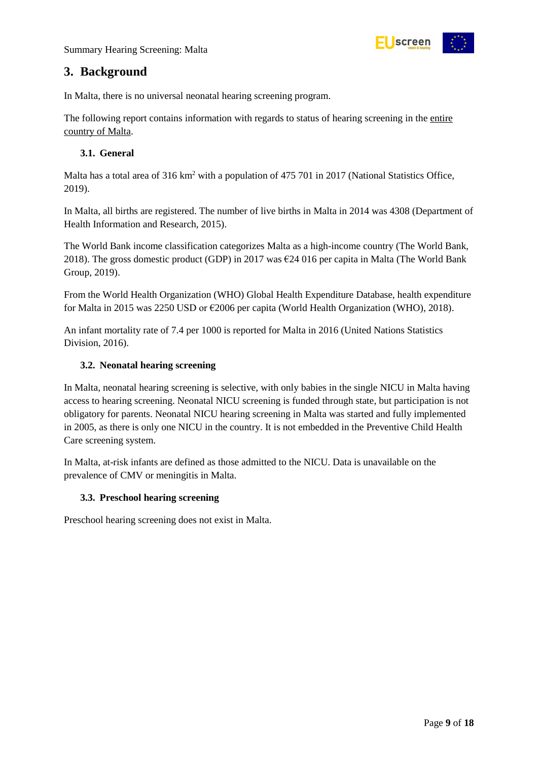

## <span id="page-8-0"></span>**3. Background**

In Malta, there is no universal neonatal hearing screening program.

The following report contains information with regards to status of hearing screening in the entire country of Malta.

#### <span id="page-8-1"></span>**3.1. General**

Malta has a total area of 316 km<sup>2</sup> with a population of 475 701 in 2017 (National Statistics Office, 2019).

In Malta, all births are registered. The number of live births in Malta in 2014 was 4308 (Department of Health Information and Research, 2015).

The World Bank income classification categorizes Malta as a high-income country (The World Bank, 2018). The gross domestic product (GDP) in 2017 was  $\epsilon$ 24 016 per capita in Malta (The World Bank Group, 2019).

From the World Health Organization (WHO) Global Health Expenditure Database, health expenditure for Malta in 2015 was 2250 USD or €2006 per capita (World Health Organization (WHO), 2018).

An infant mortality rate of 7.4 per 1000 is reported for Malta in 2016 (United Nations Statistics Division, 2016).

#### <span id="page-8-2"></span>**3.2. Neonatal hearing screening**

In Malta, neonatal hearing screening is selective, with only babies in the single NICU in Malta having access to hearing screening. Neonatal NICU screening is funded through state, but participation is not obligatory for parents. Neonatal NICU hearing screening in Malta was started and fully implemented in 2005, as there is only one NICU in the country. It is not embedded in the Preventive Child Health Care screening system.

In Malta, at-risk infants are defined as those admitted to the NICU. Data is unavailable on the prevalence of CMV or meningitis in Malta.

#### <span id="page-8-3"></span>**3.3. Preschool hearing screening**

Preschool hearing screening does not exist in Malta.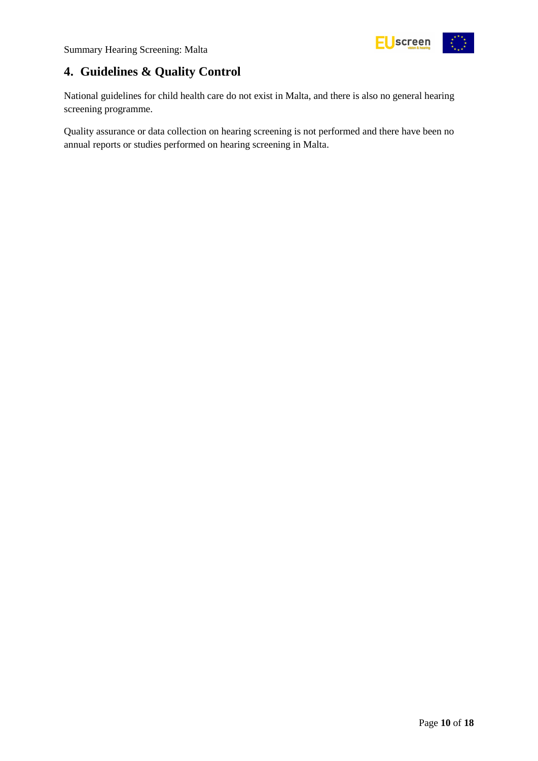

## <span id="page-9-0"></span>**4. Guidelines & Quality Control**

National guidelines for child health care do not exist in Malta, and there is also no general hearing screening programme.

Quality assurance or data collection on hearing screening is not performed and there have been no annual reports or studies performed on hearing screening in Malta.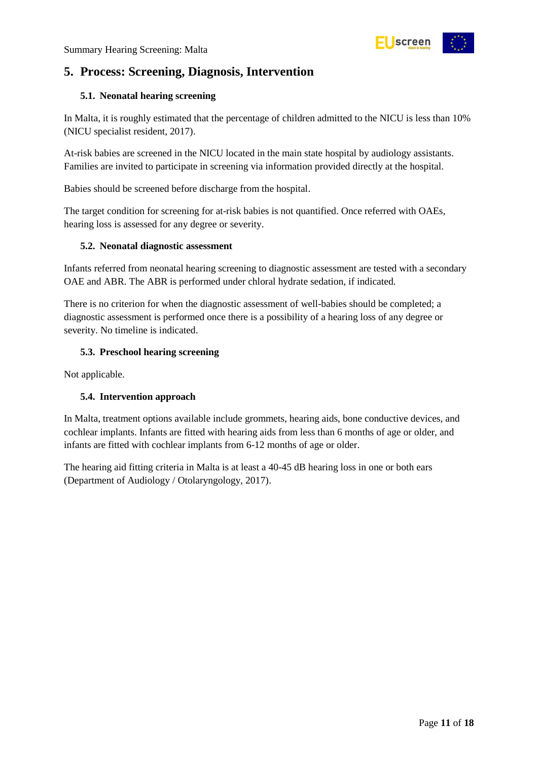

## <span id="page-10-0"></span>**5. Process: Screening, Diagnosis, Intervention**

#### <span id="page-10-1"></span>**5.1. Neonatal hearing screening**

In Malta, it is roughly estimated that the percentage of children admitted to the NICU is less than 10% (NICU specialist resident, 2017).

At-risk babies are screened in the NICU located in the main state hospital by audiology assistants. Families are invited to participate in screening via information provided directly at the hospital.

Babies should be screened before discharge from the hospital.

The target condition for screening for at-risk babies is not quantified. Once referred with OAEs, hearing loss is assessed for any degree or severity.

#### <span id="page-10-2"></span>**5.2. Neonatal diagnostic assessment**

Infants referred from neonatal hearing screening to diagnostic assessment are tested with a secondary OAE and ABR. The ABR is performed under chloral hydrate sedation, if indicated.

There is no criterion for when the diagnostic assessment of well-babies should be completed; a diagnostic assessment is performed once there is a possibility of a hearing loss of any degree or severity. No timeline is indicated.

#### <span id="page-10-3"></span>**5.3. Preschool hearing screening**

Not applicable.

#### <span id="page-10-4"></span>**5.4. Intervention approach**

In Malta, treatment options available include grommets, hearing aids, bone conductive devices, and cochlear implants. Infants are fitted with hearing aids from less than 6 months of age or older, and infants are fitted with cochlear implants from 6-12 months of age or older.

The hearing aid fitting criteria in Malta is at least a 40-45 dB hearing loss in one or both ears (Department of Audiology / Otolaryngology, 2017).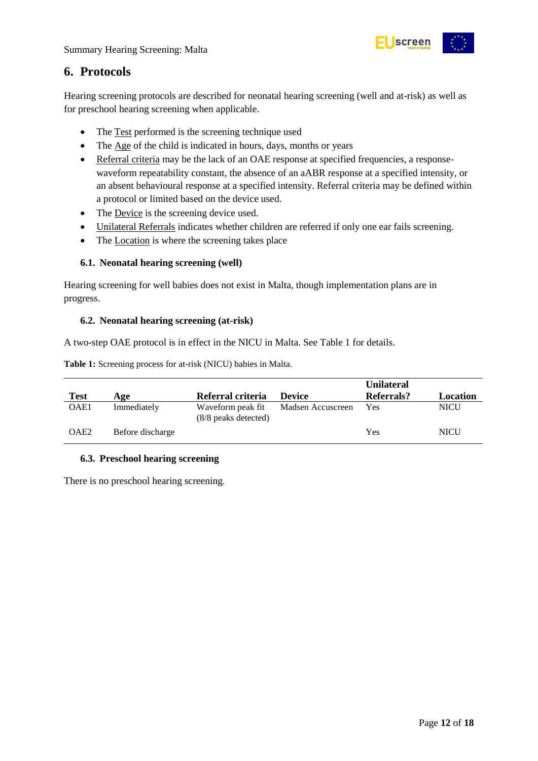

## <span id="page-11-0"></span>**6. Protocols**

Hearing screening protocols are described for neonatal hearing screening (well and at-risk) as well as for preschool hearing screening when applicable.

- The Test performed is the screening technique used
- The Age of the child is indicated in hours, days, months or years
- Referral criteria may be the lack of an OAE response at specified frequencies, a responsewaveform repeatability constant, the absence of an aABR response at a specified intensity, or an absent behavioural response at a specified intensity. Referral criteria may be defined within a protocol or limited based on the device used.
- The Device is the screening device used.
- Unilateral Referrals indicates whether children are referred if only one ear fails screening.
- The Location is where the screening takes place

#### <span id="page-11-1"></span>**6.1. Neonatal hearing screening (well)**

Hearing screening for well babies does not exist in Malta, though implementation plans are in progress.

#### <span id="page-11-2"></span>**6.2. Neonatal hearing screening (at-risk)**

A two-step OAE protocol is in effect in the NICU in Malta. See Table 1 for details.

<span id="page-11-4"></span>**Table 1:** Screening process for at-risk (NICU) babies in Malta.

|                  |                  |                                           |                   | <b>Unilateral</b> |          |
|------------------|------------------|-------------------------------------------|-------------------|-------------------|----------|
| <b>Test</b>      | Age              | Referral criteria                         | <b>Device</b>     | Referrals?        | Location |
| OAE1             | Immediately      | Waveform peak fit<br>(8/8 peaks detected) | Madsen Accuscreen | Yes               | NICU     |
| OAE <sub>2</sub> | Before discharge |                                           |                   | Yes               | NICU     |

#### <span id="page-11-3"></span>**6.3. Preschool hearing screening**

There is no preschool hearing screening.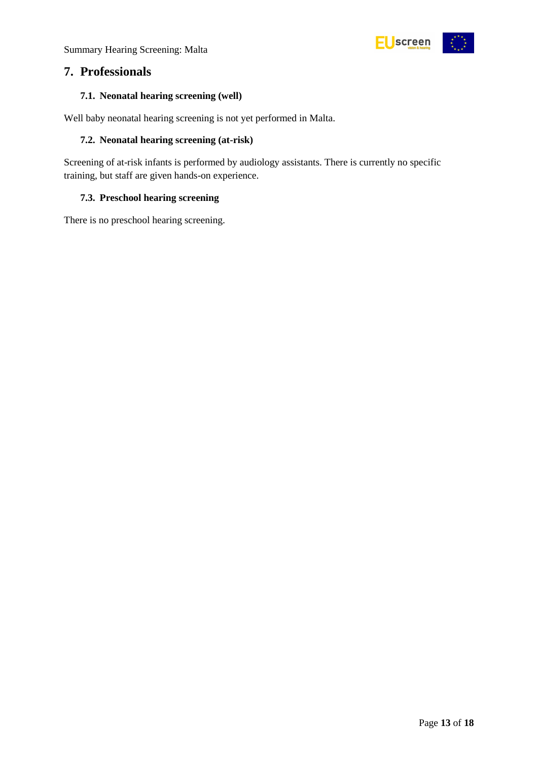

## <span id="page-12-0"></span>**7. Professionals**

#### <span id="page-12-1"></span>**7.1. Neonatal hearing screening (well)**

Well baby neonatal hearing screening is not yet performed in Malta.

#### <span id="page-12-2"></span>**7.2. Neonatal hearing screening (at-risk)**

Screening of at-risk infants is performed by audiology assistants. There is currently no specific training, but staff are given hands-on experience.

#### <span id="page-12-3"></span>**7.3. Preschool hearing screening**

There is no preschool hearing screening.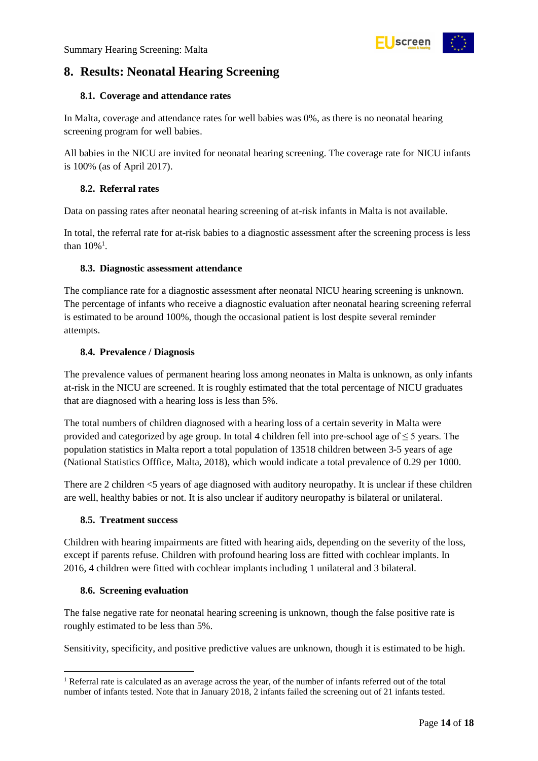

## <span id="page-13-0"></span>**8. Results: Neonatal Hearing Screening**

#### <span id="page-13-1"></span>**8.1. Coverage and attendance rates**

In Malta, coverage and attendance rates for well babies was 0%, as there is no neonatal hearing screening program for well babies.

All babies in the NICU are invited for neonatal hearing screening. The coverage rate for NICU infants is 100% (as of April 2017).

#### <span id="page-13-2"></span>**8.2. Referral rates**

Data on passing rates after neonatal hearing screening of at-risk infants in Malta is not available.

In total, the referral rate for at-risk babies to a diagnostic assessment after the screening process is less than  $10\%$ <sup>1</sup>.

#### <span id="page-13-3"></span>**8.3. Diagnostic assessment attendance**

The compliance rate for a diagnostic assessment after neonatal NICU hearing screening is unknown. The percentage of infants who receive a diagnostic evaluation after neonatal hearing screening referral is estimated to be around 100%, though the occasional patient is lost despite several reminder attempts.

#### <span id="page-13-4"></span>**8.4. Prevalence / Diagnosis**

The prevalence values of permanent hearing loss among neonates in Malta is unknown, as only infants at-risk in the NICU are screened. It is roughly estimated that the total percentage of NICU graduates that are diagnosed with a hearing loss is less than 5%.

The total numbers of children diagnosed with a hearing loss of a certain severity in Malta were provided and categorized by age group. In total 4 children fell into pre-school age of  $\leq$  5 years. The population statistics in Malta report a total population of 13518 children between 3-5 years of age (National Statistics Offfice, Malta, 2018), which would indicate a total prevalence of 0.29 per 1000.

There are 2 children <5 years of age diagnosed with auditory neuropathy. It is unclear if these children are well, healthy babies or not. It is also unclear if auditory neuropathy is bilateral or unilateral.

#### <span id="page-13-5"></span>**8.5. Treatment success**

Children with hearing impairments are fitted with hearing aids, depending on the severity of the loss, except if parents refuse. Children with profound hearing loss are fitted with cochlear implants. In 2016, 4 children were fitted with cochlear implants including 1 unilateral and 3 bilateral.

#### <span id="page-13-6"></span>**8.6. Screening evaluation**

1

The false negative rate for neonatal hearing screening is unknown, though the false positive rate is roughly estimated to be less than 5%.

Sensitivity, specificity, and positive predictive values are unknown, though it is estimated to be high.

<sup>&</sup>lt;sup>1</sup> Referral rate is calculated as an average across the year, of the number of infants referred out of the total number of infants tested. Note that in January 2018, 2 infants failed the screening out of 21 infants tested.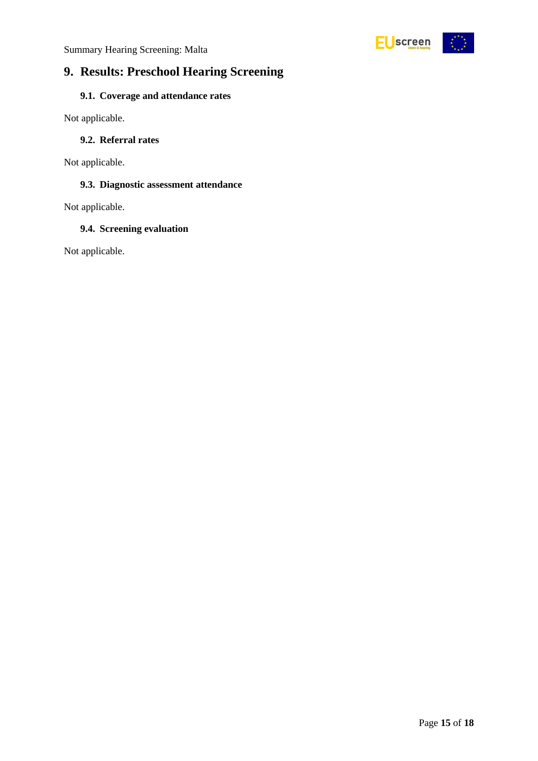

## <span id="page-14-0"></span>**9. Results: Preschool Hearing Screening**

### <span id="page-14-1"></span>**9.1. Coverage and attendance rates**

Not applicable.

#### <span id="page-14-2"></span>**9.2. Referral rates**

Not applicable.

#### <span id="page-14-3"></span>**9.3. Diagnostic assessment attendance**

Not applicable.

#### <span id="page-14-4"></span>**9.4. Screening evaluation**

Not applicable.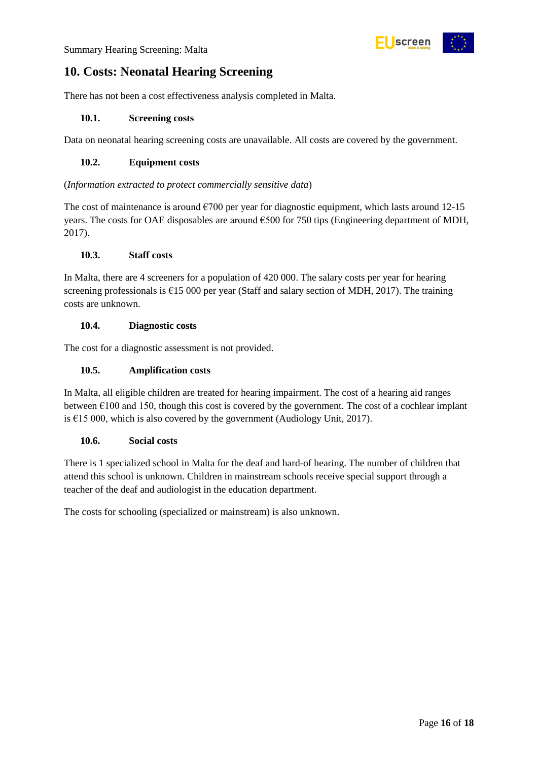

## <span id="page-15-0"></span>**10. Costs: Neonatal Hearing Screening**

There has not been a cost effectiveness analysis completed in Malta.

#### <span id="page-15-1"></span>**10.1. Screening costs**

Data on neonatal hearing screening costs are unavailable. All costs are covered by the government.

#### <span id="page-15-2"></span>**10.2. Equipment costs**

#### (*Information extracted to protect commercially sensitive data*)

The cost of maintenance is around  $\epsilon$ 700 per year for diagnostic equipment, which lasts around 12-15 years. The costs for OAE disposables are around €500 for 750 tips (Engineering department of MDH, 2017).

#### <span id="page-15-3"></span>**10.3. Staff costs**

In Malta, there are 4 screeners for a population of 420 000. The salary costs per year for hearing screening professionals is €15 000 per year (Staff and salary section of MDH, 2017). The training costs are unknown.

#### <span id="page-15-4"></span>**10.4. Diagnostic costs**

The cost for a diagnostic assessment is not provided.

#### <span id="page-15-5"></span>**10.5. Amplification costs**

In Malta, all eligible children are treated for hearing impairment. The cost of a hearing aid ranges between  $\epsilon$ 100 and 150, though this cost is covered by the government. The cost of a cochlear implant is €15 000, which is also covered by the government (Audiology Unit, 2017).

#### <span id="page-15-6"></span>**10.6. Social costs**

There is 1 specialized school in Malta for the deaf and hard-of hearing. The number of children that attend this school is unknown. Children in mainstream schools receive special support through a teacher of the deaf and audiologist in the education department.

The costs for schooling (specialized or mainstream) is also unknown.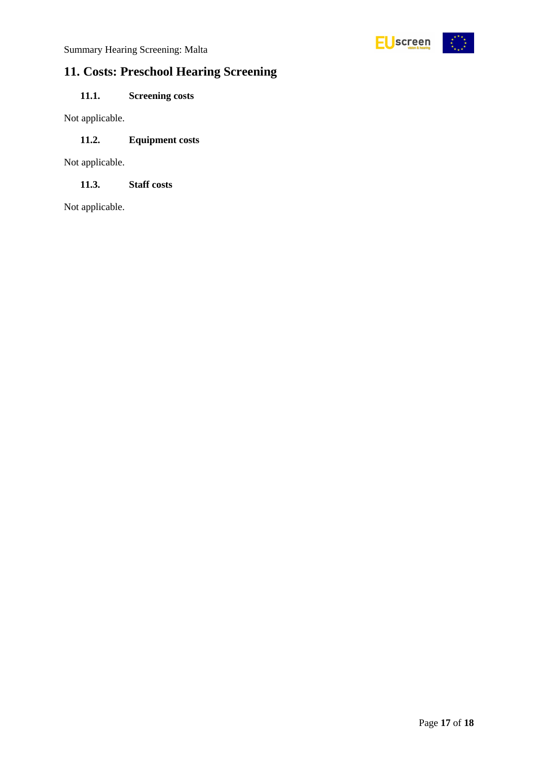

## <span id="page-16-0"></span>**11. Costs: Preschool Hearing Screening**

### <span id="page-16-1"></span>**11.1. Screening costs**

Not applicable.

### <span id="page-16-2"></span>**11.2. Equipment costs**

Not applicable.

<span id="page-16-3"></span>**11.3. Staff costs**

Not applicable.